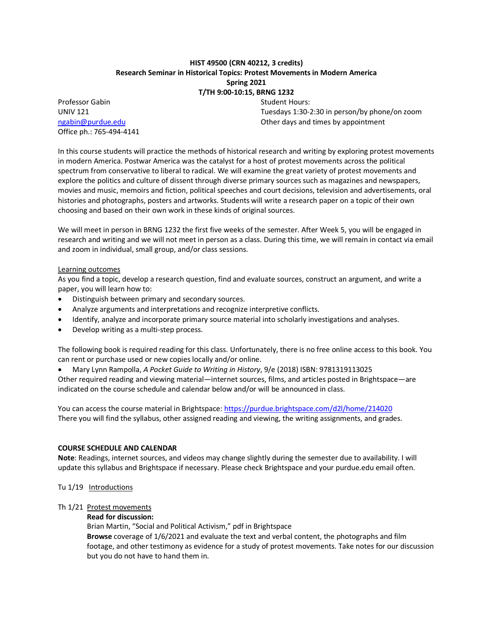## **HIST 49500 (CRN 40212, 3 credits) Research Seminar in Historical Topics: Protest Movements in Modern America Spring 2021 T/TH 9:00-10:15, BRNG 1232**

Professor Gabin Student Hours: Office ph.: 765-494-4141

UNIV 121 Tuesdays 1:30-2:30 in person/by phone/on zoom [ngabin@purdue.edu](mailto:ngabin@purdue.edu) Other days and times by appointment

In this course students will practice the methods of historical research and writing by exploring protest movements in modern America. Postwar America was the catalyst for a host of protest movements across the political spectrum from conservative to liberal to radical. We will examine the great variety of protest movements and explore the politics and culture of dissent through diverse primary sources such as magazines and newspapers, movies and music, memoirs and fiction, political speeches and court decisions, television and advertisements, oral histories and photographs, posters and artworks. Students will write a research paper on a topic of their own choosing and based on their own work in these kinds of original sources.

We will meet in person in BRNG 1232 the first five weeks of the semester. After Week 5, you will be engaged in research and writing and we will not meet in person as a class. During this time, we will remain in contact via email and zoom in individual, small group, and/or class sessions.

## Learning outcomes

As you find a topic, develop a research question, find and evaluate sources, construct an argument, and write a paper, you will learn how to:

- Distinguish between primary and secondary sources.
- Analyze arguments and interpretations and recognize interpretive conflicts.
- Identify, analyze and incorporate primary source material into scholarly investigations and analyses.
- Develop writing as a multi-step process.

The following book is required reading for this class. Unfortunately, there is no free online access to this book. You can rent or purchase used or new copies locally and/or online.

• Mary Lynn Rampolla, *A Pocket Guide to Writing in History*, 9/e (2018) ISBN: 9781319113025

Other required reading and viewing material—internet sources, films, and articles posted in Brightspace—are indicated on the course schedule and calendar below and/or will be announced in class.

You can access the course material in Brightspace: <https://purdue.brightspace.com/d2l/home/214020> There you will find the syllabus, other assigned reading and viewing, the writing assignments, and grades.

### **COURSE SCHEDULE AND CALENDAR**

**Note**: Readings, internet sources, and videos may change slightly during the semester due to availability. I will update this syllabus and Brightspace if necessary. Please check Brightspace and your purdue.edu email often.

Tu 1/19 Introductions

### Th 1/21 Protest movements

## **Read for discussion:**

Brian Martin, "Social and Political Activism," pdf in Brightspace **Browse** coverage of 1/6/2021 and evaluate the text and verbal content, the photographs and film footage, and other testimony as evidence for a study of protest movements. Take notes for our discussion but you do not have to hand them in.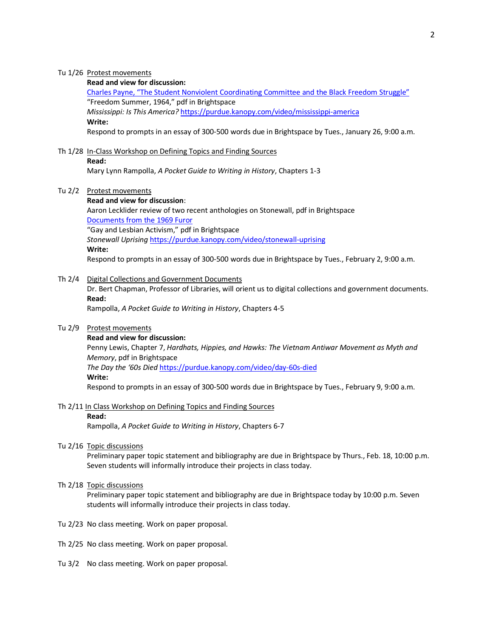### Tu 1/26 Protest movements

# **Read and view for discussion:**

Charles [Payne, "The Student Nonviolent Coordinating Committee and the](https://doi.org/10.1093/acrefore/9780199329175.013.631) Black Freedom Struggle" "Freedom Summer, 1964," pdf in Brightspace

*Mississippi: Is This America?* <https://purdue.kanopy.com/video/mississippi-america>

## **Write:**

Respond to prompts in an essay of 300-500 words due in Brightspace by Tues., January 26, 9:00 a.m.

## Th 1/28 In-Class Workshop on Defining Topics and Finding Sources **Read:**

Mary Lynn Rampolla, *A Pocket Guide to Writing in History*, Chapters 1-3

#### Tu 2/2 Protest movements

#### **Read and view for discussion**:

Aaron Lecklider review of two recent anthologies on Stonewall, pdf in Brightspace [Documents from the 1969](http://www.fordham.edu/halsall/pwh/1969docs.asp) Furor "Gay and Lesbian Activism," pdf in Brightspace *Stonewall Uprising* <https://purdue.kanopy.com/video/stonewall-uprising> **Write:**

Respond to prompts in an essay of 300-500 words due in Brightspace by Tues., February 2, 9:00 a.m.

### Th 2/4 Digital Collections and Government Documents

Dr. Bert Chapman, Professor of Libraries, will orient us to digital collections and government documents. **Read:**

Rampolla, *A Pocket Guide to Writing in History*, Chapters 4-5

## Tu 2/9 Protest movements

### **Read and view for discussion:**

Penny Lewis, Chapter 7, *Hardhats, Hippies, and Hawks: The Vietnam Antiwar Movement as Myth and Memory*, pdf in Brightspace *The Day the '60s Died* <https://purdue.kanopy.com/video/day-60s-died>

#### **Write:**

Respond to prompts in an essay of 300-500 words due in Brightspace by Tues., February 9, 9:00 a.m.

## Th 2/11 In Class Workshop on Defining Topics and Finding Sources

#### **Read:**

Rampolla, *A Pocket Guide to Writing in History*, Chapters 6-7

Tu 2/16 Topic discussions

Preliminary paper topic statement and bibliography are due in Brightspace by Thurs., Feb. 18, 10:00 p.m. Seven students will informally introduce their projects in class today.

#### Th 2/18 Topic discussions

Preliminary paper topic statement and bibliography are due in Brightspace today by 10:00 p.m. Seven students will informally introduce their projects in class today.

- Tu 2/23 No class meeting. Work on paper proposal.
- Th 2/25 No class meeting. Work on paper proposal.
- Tu 3/2 No class meeting. Work on paper proposal.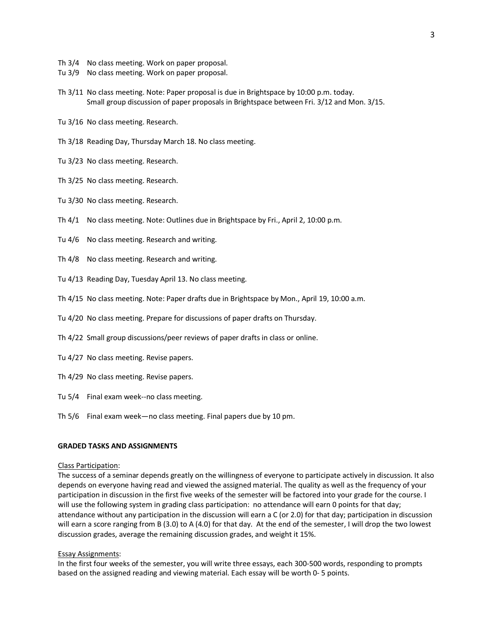- Th 3/4 No class meeting. Work on paper proposal.
- Tu 3/9 No class meeting. Work on paper proposal.
- Th 3/11 No class meeting. Note: Paper proposal is due in Brightspace by 10:00 p.m. today. Small group discussion of paper proposals in Brightspace between Fri. 3/12 and Mon. 3/15.
- Tu 3/16 No class meeting. Research.
- Th 3/18 Reading Day, Thursday March 18. No class meeting.
- Tu 3/23 No class meeting. Research.
- Th 3/25 No class meeting. Research.
- Tu 3/30 No class meeting. Research.
- Th 4/1 No class meeting. Note: Outlines due in Brightspace by Fri., April 2, 10:00 p.m.
- Tu 4/6 No class meeting. Research and writing.
- Th 4/8 No class meeting. Research and writing.
- Tu 4/13 Reading Day, Tuesday April 13. No class meeting.
- Th 4/15 No class meeting. Note: Paper drafts due in Brightspace by Mon., April 19, 10:00 a.m.
- Tu 4/20 No class meeting. Prepare for discussions of paper drafts on Thursday.
- Th 4/22 Small group discussions/peer reviews of paper drafts in class or online.
- Tu 4/27 No class meeting. Revise papers.
- Th 4/29 No class meeting. Revise papers.
- Tu 5/4 Final exam week--no class meeting.
- Th 5/6 Final exam week—no class meeting. Final papers due by 10 pm.

### **GRADED TASKS AND ASSIGNMENTS**

#### Class Participation:

The success of a seminar depends greatly on the willingness of everyone to participate actively in discussion. It also depends on everyone having read and viewed the assigned material. The quality as well as the frequency of your participation in discussion in the first five weeks of the semester will be factored into your grade for the course. I will use the following system in grading class participation: no attendance will earn 0 points for that day; attendance without any participation in the discussion will earn a C (or 2.0) for that day; participation in discussion will earn a score ranging from B (3.0) to A (4.0) for that day. At the end of the semester, I will drop the two lowest discussion grades, average the remaining discussion grades, and weight it 15%.

#### Essay Assignments:

In the first four weeks of the semester, you will write three essays, each 300-500 words, responding to prompts based on the assigned reading and viewing material. Each essay will be worth 0- 5 points.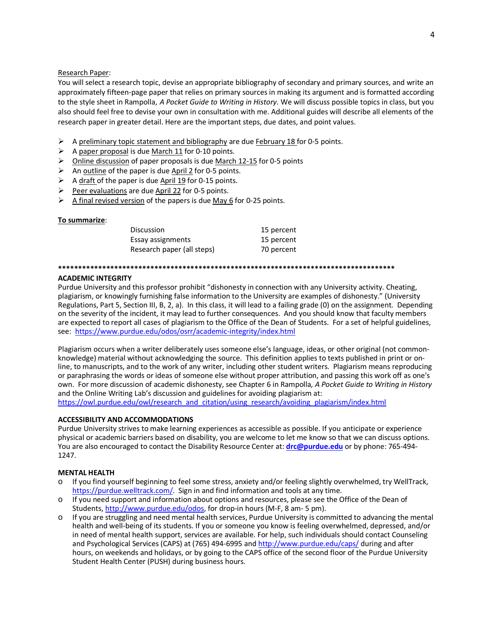### Research Paper:

You will select a research topic, devise an appropriate bibliography of secondary and primary sources, and write an approximately fifteen-page paper that relies on primary sources in making its argument and is formatted according to the style sheet in Rampolla, A Pocket Guide to Writing in History. We will discuss possible topics in class, but you also should feel free to devise your own in consultation with me. Additional guides will describe all elements of the research paper in greater detail. Here are the important steps, due dates, and point values.

- A preliminary topic statement and bibliography are due February 18 for 0-5 points.
- $\triangleright$  A paper proposal is due March 11 for 0-10 points.
- > Online discussion of paper proposals is due March 12-15 for 0-5 points
- $\triangleright$  An outline of the paper is due April 2 for 0-5 points.
- $\triangleright$  A draft of the paper is due April 19 for 0-15 points.
- Peer evaluations are due April 22 for 0-5 points.  $\blacktriangleright$
- $\triangleright$  A final revised version of the papers is due May 6 for 0-25 points.

### To summarize:

| <b>Discussion</b>          | 15 percent |
|----------------------------|------------|
| Essay assignments          | 15 percent |
| Research paper (all steps) | 70 percent |

### 

### **ACADEMIC INTEGRITY**

Purdue University and this professor prohibit "dishonesty in connection with any University activity. Cheating, plagiarism, or knowingly furnishing false information to the University are examples of dishonesty." (University Regulations, Part 5, Section III, B, 2, a). In this class, it will lead to a failing grade (0) on the assignment. Depending on the severity of the incident, it may lead to further consequences. And you should know that faculty members are expected to report all cases of plagiarism to the Office of the Dean of Students. For a set of helpful guidelines, see: https://www.purdue.edu/odos/osrr/academic-integrity/index.html

Plagiarism occurs when a writer deliberately uses someone else's language, ideas, or other original (not commonknowledge) material without acknowledging the source. This definition applies to texts published in print or online, to manuscripts, and to the work of any writer, including other student writers. Plagiarism means reproducing or paraphrasing the words or ideas of someone else without proper attribution, and passing this work off as one's own. For more discussion of academic dishonesty, see Chapter 6 in Rampolla, A Pocket Guide to Writing in History and the Online Writing Lab's discussion and guidelines for avoiding plagiarism at: https://owl.purdue.edu/owl/research and citation/using research/avoiding plagiarism/index.html

### **ACCESSIBILITY AND ACCOMMODATIONS**

Purdue University strives to make learning experiences as accessible as possible. If you anticipate or experience physical or academic barriers based on disability, you are welcome to let me know so that we can discuss options. You are also encouraged to contact the Disability Resource Center at: **drc@purdue.edu** or by phone: 765-494-1247.

### **MENTAL HEALTH**

- If you find yourself beginning to feel some stress, anxiety and/or feeling slightly overwhelmed, try WellTrack, https://purdue.welltrack.com/. Sign in and find information and tools at any time.
- o If you need support and information about options and resources, please see the Office of the Dean of Students, http://www.purdue.edu/odos, for drop-in hours (M-F, 8 am- 5 pm).
- If you are struggling and need mental health services, Purdue University is committed to advancing the mental health and well-being of its students. If you or someone you know is feeling overwhelmed, depressed, and/or in need of mental health support, services are available. For help, such individuals should contact Counseling and Psychological Services (CAPS) at (765) 494-6995 and http://www.purdue.edu/caps/ during and after hours, on weekends and holidays, or by going to the CAPS office of the second floor of the Purdue University Student Health Center (PUSH) during business hours.